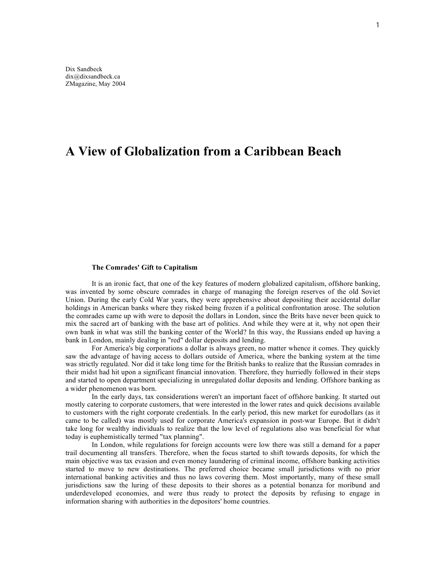## **A View of Globalization from a Caribbean Beach**

## **The Comrades' Gift to Capitalism**

It is an ironic fact, that one of the key features of modern globalized capitalism, offshore banking, was invented by some obscure comrades in charge of managing the foreign reserves of the old Soviet Union. During the early Cold War years, they were apprehensive about depositing their accidental dollar holdings in American banks where they risked being frozen if a political confrontation arose. The solution the comrades came up with were to deposit the dollars in London, since the Brits have never been quick to mix the sacred art of banking with the base art of politics. And while they were at it, why not open their own bank in what was still the banking center of the World? In this way, the Russians ended up having a bank in London, mainly dealing in "red" dollar deposits and lending.

For America's big corporations a dollar is always green, no matter whence it comes. They quickly saw the advantage of having access to dollars outside of America, where the banking system at the time was strictly regulated. Nor did it take long time for the British banks to realize that the Russian comrades in their midst had hit upon a significant financial innovation. Therefore, they hurriedly followed in their steps and started to open department specializing in unregulated dollar deposits and lending. Offshore banking as a wider phenomenon was born.

In the early days, tax considerations weren't an important facet of offshore banking. It started out mostly catering to corporate customers, that were interested in the lower rates and quick decisions available to customers with the right corporate credentials. In the early period, this new market for eurodollars (as it came to be called) was mostly used for corporate America's expansion in post-war Europe. But it didn't take long for wealthy individuals to realize that the low level of regulations also was beneficial for what today is euphemistically termed "tax planning".

In London, while regulations for foreign accounts were low there was still a demand for a paper trail documenting all transfers. Therefore, when the focus started to shift towards deposits, for which the main objective was tax evasion and even money laundering of criminal income, offshore banking activities started to move to new destinations. The preferred choice became small jurisdictions with no prior international banking activities and thus no laws covering them. Most importantly, many of these small jurisdictions saw the luring of these deposits to their shores as a potential bonanza for moribund and underdeveloped economies, and were thus ready to protect the deposits by refusing to engage in information sharing with authorities in the depositors' home countries.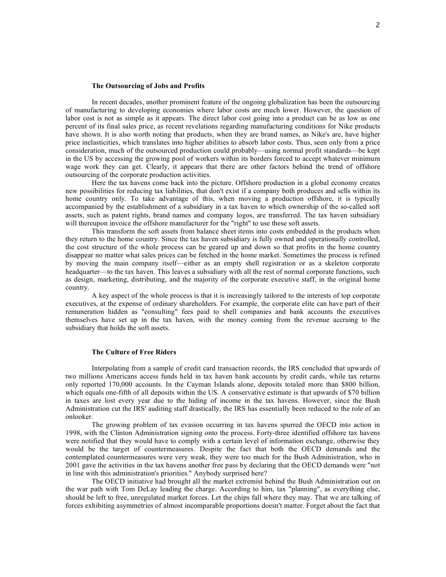## **The Outsourcing of Jobs and Profits**

In recent decades, another prominent feature of the ongoing globalization has been the outsourcing of manufacturing to developing economies where labor costs are much lower. However, the question of labor cost is not as simple as it appears. The direct labor cost going into a product can be as low as one percent of its final sales price, as recent revelations regarding manufacturing conditions for Nike products have shown. It is also worth noting that products, when they are brand names, as Nike's are, have higher price inelasticities, which translates into higher abilities to absorb labor costs. Thus, seen only from a price consideration, much of the outsourced production could probably—using normal profit standards—be kept in the US by accessing the growing pool of workers within its borders forced to accept whatever minimum wage work they can get. Clearly, it appears that there are other factors behind the trend of offshore outsourcing of the corporate production activities.

Here the tax havens come back into the picture. Offshore production in a global economy creates new possibilities for reducing tax liabilities, that don't exist if a company both produces and sells within its home country only. To take advantage of this, when moving a production offshore, it is typically accompanied by the establishment of a subsidiary in a tax haven to which ownership of the so-called soft assets, such as patent rights, brand names and company logos, are transferred. The tax haven subsidiary will thereupon invoice the offshore manufacturer for the "right" to use these soft assets.

This transform the soft assets from balance sheet items into costs embedded in the products when they return to the home country. Since the tax haven subsidiary is fully owned and operationally controlled, the cost structure of the whole process can be geared up and down so that profits in the home country disappear no matter what sales prices can be fetched in the home market. Sometimes the process is refined by moving the main company itself—either as an empty shell registration or as a skeleton corporate headquarter—to the tax haven. This leaves a subsidiary with all the rest of normal corporate functions, such as design, marketing, distributing, and the majority of the corporate executive staff, in the original home country.

A key aspect of the whole process is that it is increasingly tailored to the interests of top corporate executives, at the expense of ordinary shareholders. For example, the corporate elite can have part of their remuneration hidden as "consulting" fees paid to shell companies and bank accounts the executives themselves have set up in the tax haven, with the money coming from the revenue accruing to the subsidiary that holds the soft assets.

## **The Culture of Free Riders**

Interpolating from a sample of credit card transaction records, the IRS concluded that upwards of two millions Americans access funds held in tax haven bank accounts by credit cards, while tax returns only reported 170,000 accounts. In the Cayman Islands alone, deposits totaled more than \$800 billion, which equals one-fifth of all deposits within the US. A conservative estimate is that upwards of \$70 billion in taxes are lost every year due to the hiding of income in the tax havens. However, since the Bush Administration cut the IRS' auditing staff drastically, the IRS has essentially been reduced to the role of an onlooker.

The growing problem of tax evasion occurring in tax havens spurred the OECD into action in 1998, with the Clinton Administration signing onto the process. Forty-three identified offshore tax havens were notified that they would have to comply with a certain level of information exchange, otherwise they would be the target of countermeasures. Despite the fact that both the OECD demands and the contemplated countermeasures were very weak, they were too much for the Bush Administration, who in 2001 gave the activities in the tax havens another free pass by declaring that the OECD demands were "not in line with this administration's priorities." Anybody surprised here?

The OECD initiative had brought all the market extremist behind the Bush Administration out on the war path with Tom DeLay leading the charge. According to him, tax "planning", as everything else, should be left to free, unregulated market forces. Let the chips fall where they may. That we are talking of forces exhibiting asymmetries of almost incomparable proportions doesn't matter. Forget about the fact that